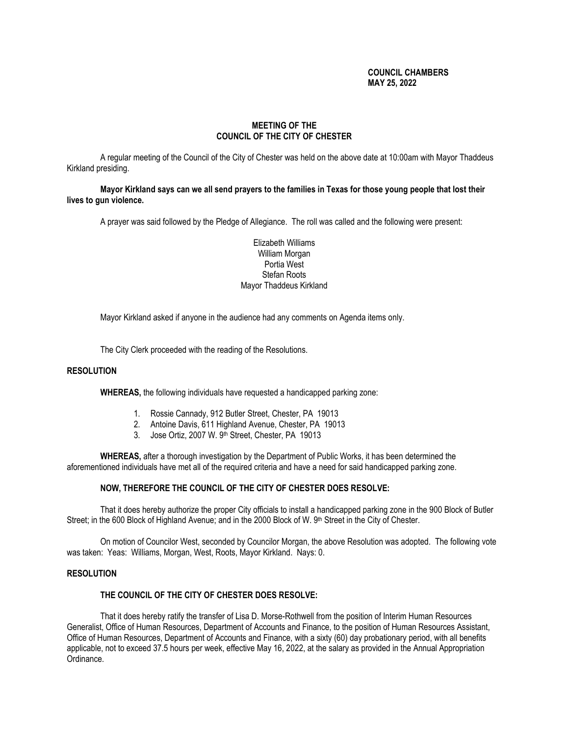# **COUNCIL CHAMBERS MAY 25, 2022**

# **MEETING OF THE COUNCIL OF THE CITY OF CHESTER**

A regular meeting of the Council of the City of Chester was held on the above date at 10:00am with Mayor Thaddeus Kirkland presiding.

**Mayor Kirkland says can we all send prayers to the families in Texas for those young people that lost their lives to gun violence.**

A prayer was said followed by the Pledge of Allegiance. The roll was called and the following were present:

Elizabeth Williams William Morgan Portia West Stefan Roots Mayor Thaddeus Kirkland

Mayor Kirkland asked if anyone in the audience had any comments on Agenda items only.

The City Clerk proceeded with the reading of the Resolutions.

### **RESOLUTION**

**WHEREAS,** the following individuals have requested a handicapped parking zone:

- 1. Rossie Cannady, 912 Butler Street, Chester, PA 19013
- 2. Antoine Davis, 611 Highland Avenue, Chester, PA 19013
- 3. Jose Ortiz, 2007 W. 9th Street, Chester, PA 19013

**WHEREAS,** after a thorough investigation by the Department of Public Works, it has been determined the aforementioned individuals have met all of the required criteria and have a need for said handicapped parking zone.

### **NOW, THEREFORE THE COUNCIL OF THE CITY OF CHESTER DOES RESOLVE:**

That it does hereby authorize the proper City officials to install a handicapped parking zone in the 900 Block of Butler Street; in the 600 Block of Highland Avenue; and in the 2000 Block of W. 9th Street in the City of Chester.

On motion of Councilor West, seconded by Councilor Morgan, the above Resolution was adopted. The following vote was taken: Yeas: Williams, Morgan, West, Roots, Mayor Kirkland. Nays: 0.

### **RESOLUTION**

## **THE COUNCIL OF THE CITY OF CHESTER DOES RESOLVE:**

That it does hereby ratify the transfer of Lisa D. Morse-Rothwell from the position of Interim Human Resources Generalist, Office of Human Resources, Department of Accounts and Finance, to the position of Human Resources Assistant, Office of Human Resources, Department of Accounts and Finance, with a sixty (60) day probationary period, with all benefits applicable, not to exceed 37.5 hours per week, effective May 16, 2022, at the salary as provided in the Annual Appropriation Ordinance.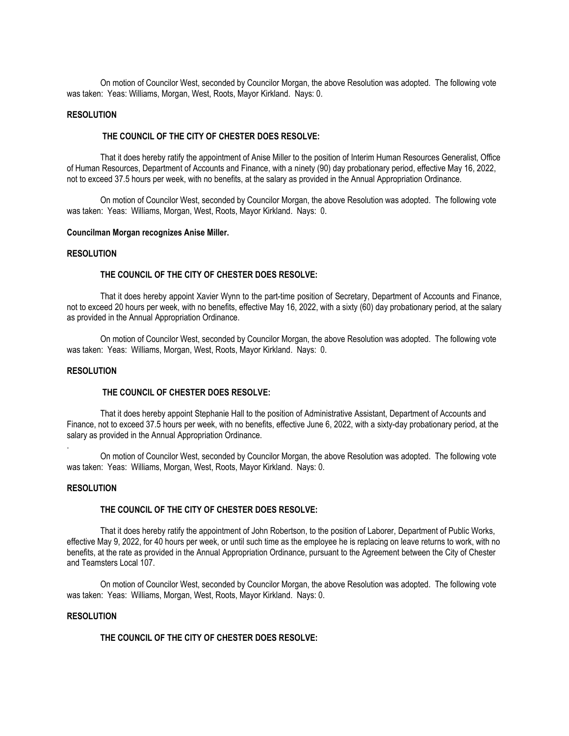On motion of Councilor West, seconded by Councilor Morgan, the above Resolution was adopted. The following vote was taken: Yeas: Williams, Morgan, West, Roots, Mayor Kirkland. Nays: 0.

## **RESOLUTION**

### **THE COUNCIL OF THE CITY OF CHESTER DOES RESOLVE:**

That it does hereby ratify the appointment of Anise Miller to the position of Interim Human Resources Generalist, Office of Human Resources, Department of Accounts and Finance, with a ninety (90) day probationary period, effective May 16, 2022, not to exceed 37.5 hours per week, with no benefits, at the salary as provided in the Annual Appropriation Ordinance.

On motion of Councilor West, seconded by Councilor Morgan, the above Resolution was adopted. The following vote was taken: Yeas: Williams, Morgan, West, Roots, Mayor Kirkland. Nays: 0.

### **Councilman Morgan recognizes Anise Miller.**

### **RESOLUTION**

#### **THE COUNCIL OF THE CITY OF CHESTER DOES RESOLVE:**

That it does hereby appoint Xavier Wynn to the part-time position of Secretary, Department of Accounts and Finance, not to exceed 20 hours per week, with no benefits, effective May 16, 2022, with a sixty (60) day probationary period, at the salary as provided in the Annual Appropriation Ordinance.

On motion of Councilor West, seconded by Councilor Morgan, the above Resolution was adopted. The following vote was taken: Yeas: Williams, Morgan, West, Roots, Mayor Kirkland. Nays: 0.

### **RESOLUTION**

#### **THE COUNCIL OF CHESTER DOES RESOLVE:**

That it does hereby appoint Stephanie Hall to the position of Administrative Assistant, Department of Accounts and Finance, not to exceed 37.5 hours per week, with no benefits, effective June 6, 2022, with a sixty-day probationary period, at the salary as provided in the Annual Appropriation Ordinance.

On motion of Councilor West, seconded by Councilor Morgan, the above Resolution was adopted. The following vote was taken: Yeas: Williams, Morgan, West, Roots, Mayor Kirkland. Nays: 0.

#### **RESOLUTION**

.

#### **THE COUNCIL OF THE CITY OF CHESTER DOES RESOLVE:**

That it does hereby ratify the appointment of John Robertson, to the position of Laborer, Department of Public Works, effective May 9, 2022, for 40 hours per week, or until such time as the employee he is replacing on leave returns to work, with no benefits, at the rate as provided in the Annual Appropriation Ordinance, pursuant to the Agreement between the City of Chester and Teamsters Local 107.

On motion of Councilor West, seconded by Councilor Morgan, the above Resolution was adopted. The following vote was taken: Yeas: Williams, Morgan, West, Roots, Mayor Kirkland. Nays: 0.

### **RESOLUTION**

# **THE COUNCIL OF THE CITY OF CHESTER DOES RESOLVE:**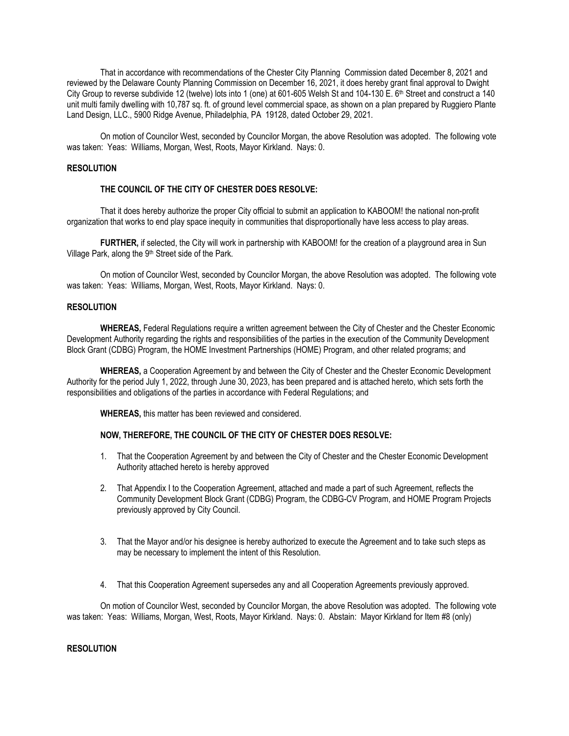That in accordance with recommendations of the Chester City Planning Commission dated December 8, 2021 and reviewed by the Delaware County Planning Commission on December 16, 2021, it does hereby grant final approval to Dwight City Group to reverse subdivide 12 (twelve) lots into 1 (one) at 601-605 Welsh St and 104-130 E. 6<sup>th</sup> Street and construct a 140 unit multi family dwelling with 10,787 sq. ft. of ground level commercial space, as shown on a plan prepared by Ruggiero Plante Land Design, LLC., 5900 Ridge Avenue, Philadelphia, PA 19128, dated October 29, 2021.

On motion of Councilor West, seconded by Councilor Morgan, the above Resolution was adopted. The following vote was taken: Yeas: Williams, Morgan, West, Roots, Mayor Kirkland. Nays: 0.

## **RESOLUTION**

## **THE COUNCIL OF THE CITY OF CHESTER DOES RESOLVE:**

That it does hereby authorize the proper City official to submit an application to KABOOM! the national non-profit organization that works to end play space inequity in communities that disproportionally have less access to play areas.

**FURTHER,** if selected, the City will work in partnership with KABOOM! for the creation of a playground area in Sun Village Park, along the 9<sup>th</sup> Street side of the Park.

On motion of Councilor West, seconded by Councilor Morgan, the above Resolution was adopted. The following vote was taken: Yeas: Williams, Morgan, West, Roots, Mayor Kirkland. Nays: 0.

## **RESOLUTION**

**WHEREAS,** Federal Regulations require a written agreement between the City of Chester and the Chester Economic Development Authority regarding the rights and responsibilities of the parties in the execution of the Community Development Block Grant (CDBG) Program, the HOME Investment Partnerships (HOME) Program, and other related programs; and

**WHEREAS,** a Cooperation Agreement by and between the City of Chester and the Chester Economic Development Authority for the period July 1, 2022, through June 30, 2023, has been prepared and is attached hereto, which sets forth the responsibilities and obligations of the parties in accordance with Federal Regulations; and

**WHEREAS,** this matter has been reviewed and considered.

## **NOW, THEREFORE, THE COUNCIL OF THE CITY OF CHESTER DOES RESOLVE:**

- 1. That the Cooperation Agreement by and between the City of Chester and the Chester Economic Development Authority attached hereto is hereby approved
- 2. That Appendix I to the Cooperation Agreement, attached and made a part of such Agreement, reflects the Community Development Block Grant (CDBG) Program, the CDBG-CV Program, and HOME Program Projects previously approved by City Council.
- 3. That the Mayor and/or his designee is hereby authorized to execute the Agreement and to take such steps as may be necessary to implement the intent of this Resolution.
- 4. That this Cooperation Agreement supersedes any and all Cooperation Agreements previously approved.

On motion of Councilor West, seconded by Councilor Morgan, the above Resolution was adopted. The following vote was taken: Yeas: Williams, Morgan, West, Roots, Mayor Kirkland. Nays: 0. Abstain: Mayor Kirkland for Item #8 (only)

# **RESOLUTION**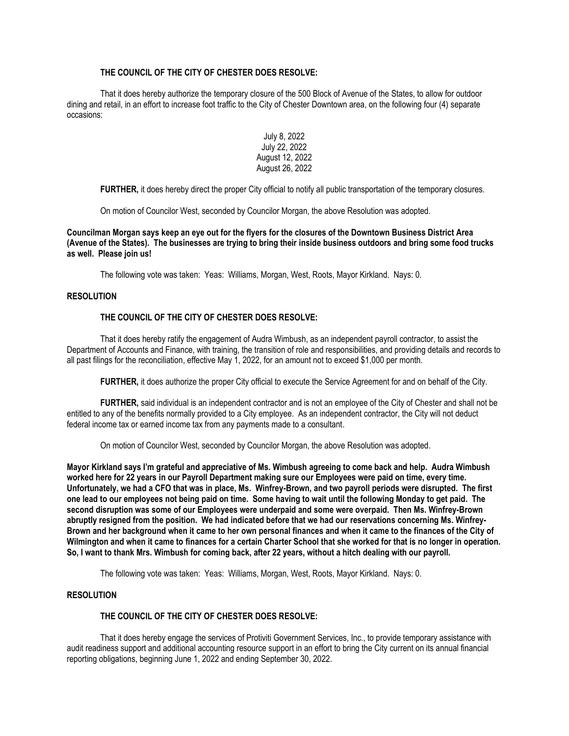# **THE COUNCIL OF THE CITY OF CHESTER DOES RESOLVE:**

That it does hereby authorize the temporary closure of the 500 Block of Avenue of the States, to allow for outdoor dining and retail, in an effort to increase foot traffic to the City of Chester Downtown area, on the following four (4) separate occasions:

# July 8, 2022 July 22, 2022 August 12, 2022 August 26, 2022

**FURTHER,** it does hereby direct the proper City official to notify all public transportation of the temporary closures.

On motion of Councilor West, seconded by Councilor Morgan, the above Resolution was adopted.

**Councilman Morgan says keep an eye out for the flyers for the closures of the Downtown Business District Area (Avenue of the States). The businesses are trying to bring their inside business outdoors and bring some food trucks as well. Please join us!**

The following vote was taken: Yeas: Williams, Morgan, West, Roots, Mayor Kirkland. Nays: 0.

## **RESOLUTION**

# **THE COUNCIL OF THE CITY OF CHESTER DOES RESOLVE:**

That it does hereby ratify the engagement of Audra Wimbush, as an independent payroll contractor, to assist the Department of Accounts and Finance, with training, the transition of role and responsibilities, and providing details and records to all past filings for the reconciliation, effective May 1, 2022, for an amount not to exceed \$1,000 per month.

**FURTHER,** it does authorize the proper City official to execute the Service Agreement for and on behalf of the City.

**FURTHER,** said individual is an independent contractor and is not an employee of the City of Chester and shall not be entitled to any of the benefits normally provided to a City employee. As an independent contractor, the City will not deduct federal income tax or earned income tax from any payments made to a consultant.

On motion of Councilor West, seconded by Councilor Morgan, the above Resolution was adopted.

**Mayor Kirkland says I'm grateful and appreciative of Ms. Wimbush agreeing to come back and help. Audra Wimbush worked here for 22 years in our Payroll Department making sure our Employees were paid on time, every time. Unfortunately, we had a CFO that was in place, Ms. Winfrey-Brown, and two payroll periods were disrupted. The first one lead to our employees not being paid on time. Some having to wait until the following Monday to get paid. The second disruption was some of our Employees were underpaid and some were overpaid. Then Ms. Winfrey-Brown abruptly resigned from the position. We had indicated before that we had our reservations concerning Ms. Winfrey-Brown and her background when it came to her own personal finances and when it came to the finances of the City of Wilmington and when it came to finances for a certain Charter School that she worked for that is no longer in operation. So, I want to thank Mrs. Wimbush for coming back, after 22 years, without a hitch dealing with our payroll.**

The following vote was taken: Yeas: Williams, Morgan, West, Roots, Mayor Kirkland. Nays: 0.

# **RESOLUTION**

### **THE COUNCIL OF THE CITY OF CHESTER DOES RESOLVE:**

That it does hereby engage the services of Protiviti Government Services, Inc., to provide temporary assistance with audit readiness support and additional accounting resource support in an effort to bring the City current on its annual financial reporting obligations, beginning June 1, 2022 and ending September 30, 2022.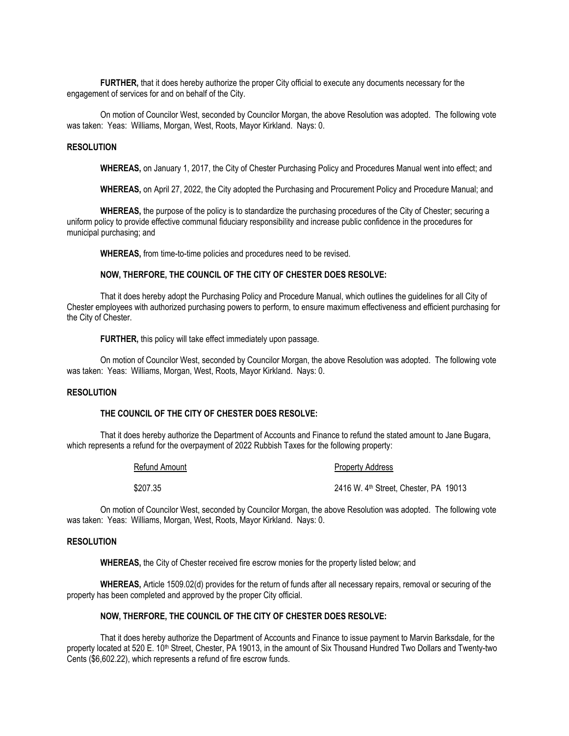**FURTHER,** that it does hereby authorize the proper City official to execute any documents necessary for the engagement of services for and on behalf of the City.

On motion of Councilor West, seconded by Councilor Morgan, the above Resolution was adopted. The following vote was taken: Yeas: Williams, Morgan, West, Roots, Mayor Kirkland. Nays: 0.

### **RESOLUTION**

**WHEREAS,** on January 1, 2017, the City of Chester Purchasing Policy and Procedures Manual went into effect; and

**WHEREAS,** on April 27, 2022, the City adopted the Purchasing and Procurement Policy and Procedure Manual; and

**WHEREAS,** the purpose of the policy is to standardize the purchasing procedures of the City of Chester; securing a uniform policy to provide effective communal fiduciary responsibility and increase public confidence in the procedures for municipal purchasing; and

**WHEREAS,** from time-to-time policies and procedures need to be revised.

### **NOW, THERFORE, THE COUNCIL OF THE CITY OF CHESTER DOES RESOLVE:**

That it does hereby adopt the Purchasing Policy and Procedure Manual, which outlines the guidelines for all City of Chester employees with authorized purchasing powers to perform, to ensure maximum effectiveness and efficient purchasing for the City of Chester.

**FURTHER,** this policy will take effect immediately upon passage.

On motion of Councilor West, seconded by Councilor Morgan, the above Resolution was adopted. The following vote was taken: Yeas: Williams, Morgan, West, Roots, Mayor Kirkland. Nays: 0.

### **RESOLUTION**

## **THE COUNCIL OF THE CITY OF CHESTER DOES RESOLVE:**

That it does hereby authorize the Department of Accounts and Finance to refund the stated amount to Jane Bugara, which represents a refund for the overpayment of 2022 Rubbish Taxes for the following property:

| Refund Amount | <b>Property Address</b>               |
|---------------|---------------------------------------|
| \$207.35      | 2416 W. 4th Street. Chester. PA 19013 |

On motion of Councilor West, seconded by Councilor Morgan, the above Resolution was adopted. The following vote was taken: Yeas: Williams, Morgan, West, Roots, Mayor Kirkland. Nays: 0.

## **RESOLUTION**

**WHEREAS,** the City of Chester received fire escrow monies for the property listed below; and

**WHEREAS,** Article 1509.02(d) provides for the return of funds after all necessary repairs, removal or securing of the property has been completed and approved by the proper City official.

#### **NOW, THERFORE, THE COUNCIL OF THE CITY OF CHESTER DOES RESOLVE:**

That it does hereby authorize the Department of Accounts and Finance to issue payment to Marvin Barksdale, for the property located at 520 E. 10<sup>th</sup> Street, Chester, PA 19013, in the amount of Six Thousand Hundred Two Dollars and Twenty-two Cents (\$6,602.22), which represents a refund of fire escrow funds.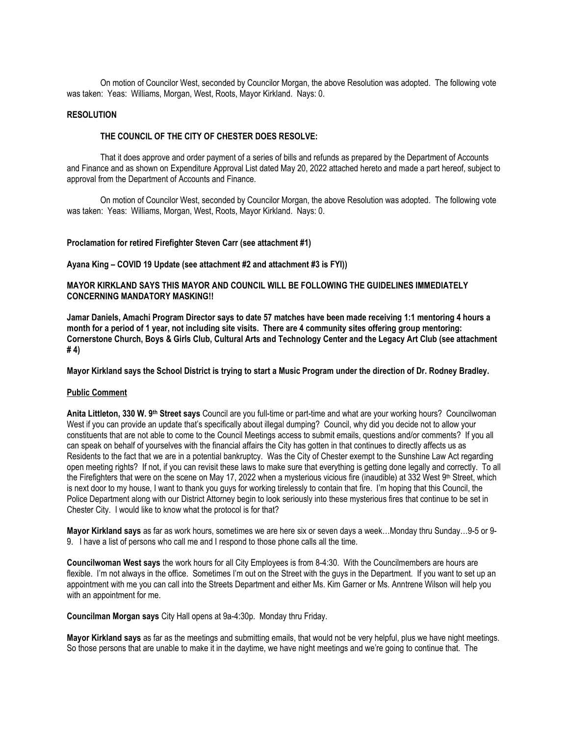On motion of Councilor West, seconded by Councilor Morgan, the above Resolution was adopted. The following vote was taken: Yeas: Williams, Morgan, West, Roots, Mayor Kirkland. Nays: 0.

## **RESOLUTION**

## **THE COUNCIL OF THE CITY OF CHESTER DOES RESOLVE:**

That it does approve and order payment of a series of bills and refunds as prepared by the Department of Accounts and Finance and as shown on Expenditure Approval List dated May 20, 2022 attached hereto and made a part hereof, subject to approval from the Department of Accounts and Finance.

On motion of Councilor West, seconded by Councilor Morgan, the above Resolution was adopted. The following vote was taken: Yeas: Williams, Morgan, West, Roots, Mayor Kirkland. Nays: 0.

#### **Proclamation for retired Firefighter Steven Carr (see attachment #1)**

#### **Ayana King – COVID 19 Update (see attachment #2 and attachment #3 is FYI))**

## **MAYOR KIRKLAND SAYS THIS MAYOR AND COUNCIL WILL BE FOLLOWING THE GUIDELINES IMMEDIATELY CONCERNING MANDATORY MASKING!!**

**Jamar Daniels, Amachi Program Director says to date 57 matches have been made receiving 1:1 mentoring 4 hours a month for a period of 1 year, not including site visits. There are 4 community sites offering group mentoring: Cornerstone Church, Boys & Girls Club, Cultural Arts and Technology Center and the Legacy Art Club (see attachment # 4)**

**Mayor Kirkland says the School District is trying to start a Music Program under the direction of Dr. Rodney Bradley.**

### **Public Comment**

**Anita Littleton, 330 W. 9 th Street says** Council are you full-time or part-time and what are your working hours? Councilwoman West if you can provide an update that's specifically about illegal dumping? Council, why did you decide not to allow your constituents that are not able to come to the Council Meetings access to submit emails, questions and/or comments?If you all can speak on behalf of yourselves with the financial affairs the City has gotten in that continues to directly affects us as Residents to the fact that we are in a potential bankruptcy. Was the City of Chester exempt to the Sunshine Law Act regarding open meeting rights? If not, if you can revisit these laws to make sure that everything is getting done legally and correctly. To all the Firefighters that were on the scene on May 17, 2022 when a mysterious vicious fire (inaudible) at 332 West 9<sup>th</sup> Street, which is next door to my house, I want to thank you guys for working tirelessly to contain that fire. I'm hoping that this Council, the Police Department along with our District Attorney begin to look seriously into these mysterious fires that continue to be set in Chester City. I would like to know what the protocol is for that?

**Mayor Kirkland says** as far as work hours, sometimes we are here six or seven days a week…Monday thru Sunday…9-5 or 9- 9. I have a list of persons who call me and I respond to those phone calls all the time.

**Councilwoman West says** the work hours for all City Employees is from 8-4:30. With the Councilmembers are hours are flexible. I'm not always in the office. Sometimes I'm out on the Street with the guys in the Department. If you want to set up an appointment with me you can call into the Streets Department and either Ms. Kim Garner or Ms. Anntrene Wilson will help you with an appointment for me.

**Councilman Morgan says** City Hall opens at 9a-4:30p. Monday thru Friday.

**Mayor Kirkland says** as far as the meetings and submitting emails, that would not be very helpful, plus we have night meetings. So those persons that are unable to make it in the daytime, we have night meetings and we're going to continue that. The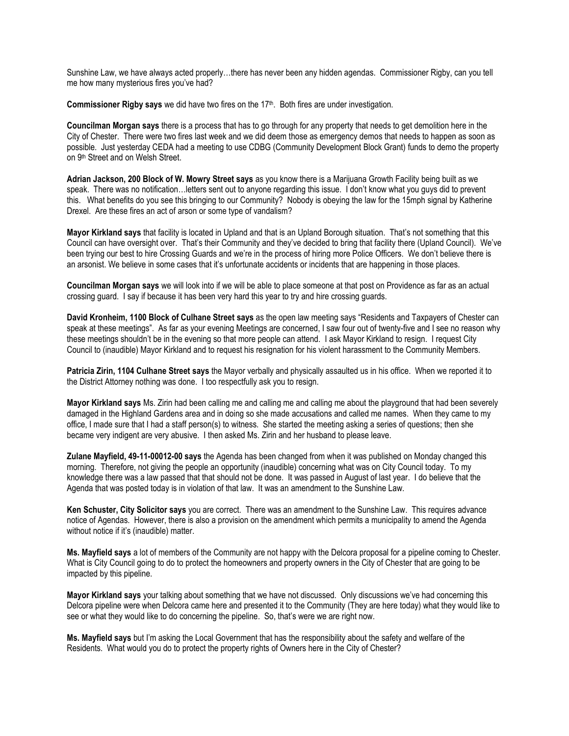Sunshine Law, we have always acted properly…there has never been any hidden agendas. Commissioner Rigby, can you tell me how many mysterious fires you've had?

**Commissioner Rigby says** we did have two fires on the 17th. Both fires are under investigation.

**Councilman Morgan says** there is a process that has to go through for any property that needs to get demolition here in the City of Chester. There were two fires last week and we did deem those as emergency demos that needs to happen as soon as possible. Just yesterday CEDA had a meeting to use CDBG (Community Development Block Grant) funds to demo the property on 9<sup>th</sup> Street and on Welsh Street.

**Adrian Jackson, 200 Block of W. Mowry Street says** as you know there is a Marijuana Growth Facility being built as we speak. There was no notification…letters sent out to anyone regarding this issue. I don't know what you guys did to prevent this. What benefits do you see this bringing to our Community? Nobody is obeying the law for the 15mph signal by Katherine Drexel. Are these fires an act of arson or some type of vandalism?

**Mayor Kirkland says** that facility is located in Upland and that is an Upland Borough situation. That's not something that this Council can have oversight over. That's their Community and they've decided to bring that facility there (Upland Council). We've been trying our best to hire Crossing Guards and we're in the process of hiring more Police Officers. We don't believe there is an arsonist. We believe in some cases that it's unfortunate accidents or incidents that are happening in those places.

**Councilman Morgan says** we will look into if we will be able to place someone at that post on Providence as far as an actual crossing guard. I say if because it has been very hard this year to try and hire crossing guards.

**David Kronheim, 1100 Block of Culhane Street says** as the open law meeting says "Residents and Taxpayers of Chester can speak at these meetings". As far as your evening Meetings are concerned, I saw four out of twenty-five and I see no reason why these meetings shouldn't be in the evening so that more people can attend. I ask Mayor Kirkland to resign. I request City Council to (inaudible) Mayor Kirkland and to request his resignation for his violent harassment to the Community Members.

**Patricia Zirin, 1104 Culhane Street says** the Mayor verbally and physically assaulted us in his office. When we reported it to the District Attorney nothing was done. I too respectfully ask you to resign.

**Mayor Kirkland says** Ms. Zirin had been calling me and calling me and calling me about the playground that had been severely damaged in the Highland Gardens area and in doing so she made accusations and called me names. When they came to my office, I made sure that I had a staff person(s) to witness. She started the meeting asking a series of questions; then she became very indigent are very abusive. I then asked Ms. Zirin and her husband to please leave.

**Zulane Mayfield, 49-11-00012-00 says** the Agenda has been changed from when it was published on Monday changed this morning. Therefore, not giving the people an opportunity (inaudible) concerning what was on City Council today. To my knowledge there was a law passed that that should not be done. It was passed in August of last year. I do believe that the Agenda that was posted today is in violation of that law. It was an amendment to the Sunshine Law.

**Ken Schuster, City Solicitor says** you are correct. There was an amendment to the Sunshine Law. This requires advance notice of Agendas. However, there is also a provision on the amendment which permits a municipality to amend the Agenda without notice if it's (inaudible) matter.

**Ms. Mayfield says** a lot of members of the Community are not happy with the Delcora proposal for a pipeline coming to Chester. What is City Council going to do to protect the homeowners and property owners in the City of Chester that are going to be impacted by this pipeline.

**Mayor Kirkland says** your talking about something that we have not discussed. Only discussions we've had concerning this Delcora pipeline were when Delcora came here and presented it to the Community (They are here today) what they would like to see or what they would like to do concerning the pipeline. So, that's were we are right now.

**Ms. Mayfield says** but I'm asking the Local Government that has the responsibility about the safety and welfare of the Residents. What would you do to protect the property rights of Owners here in the City of Chester?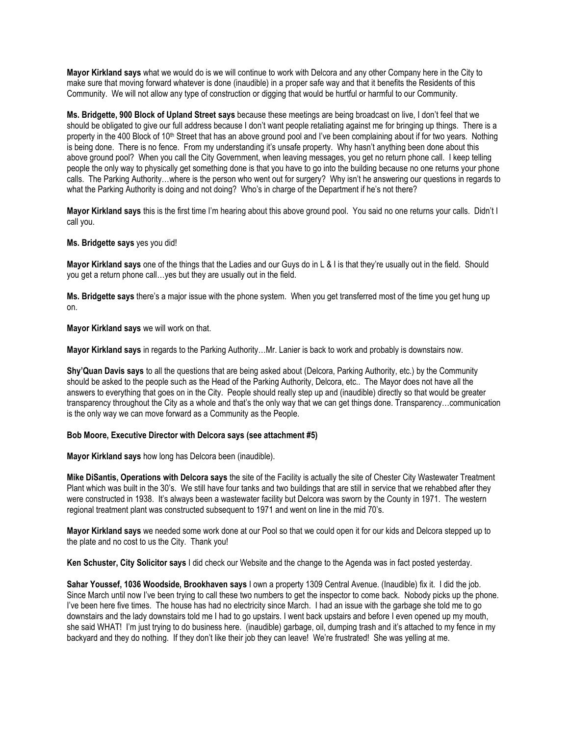**Mayor Kirkland says** what we would do is we will continue to work with Delcora and any other Company here in the City to make sure that moving forward whatever is done (inaudible) in a proper safe way and that it benefits the Residents of this Community. We will not allow any type of construction or digging that would be hurtful or harmful to our Community.

**Ms. Bridgette, 900 Block of Upland Street says** because these meetings are being broadcast on live, I don't feel that we should be obligated to give our full address because I don't want people retaliating against me for bringing up things. There is a property in the 400 Block of 10<sup>th</sup> Street that has an above ground pool and I've been complaining about if for two years. Nothing is being done. There is no fence. From my understanding it's unsafe property. Why hasn't anything been done about this above ground pool? When you call the City Government, when leaving messages, you get no return phone call. I keep telling people the only way to physically get something done is that you have to go into the building because no one returns your phone calls. The Parking Authority…where is the person who went out for surgery? Why isn't he answering our questions in regards to what the Parking Authority is doing and not doing? Who's in charge of the Department if he's not there?

**Mayor Kirkland says** this is the first time I'm hearing about this above ground pool. You said no one returns your calls. Didn't I call you.

**Ms. Bridgette says** yes you did!

**Mayor Kirkland says** one of the things that the Ladies and our Guys do in L & I is that they're usually out in the field. Should you get a return phone call…yes but they are usually out in the field.

**Ms. Bridgette says** there's a major issue with the phone system. When you get transferred most of the time you get hung up on.

**Mayor Kirkland says** we will work on that.

**Mayor Kirkland says** in regards to the Parking Authority…Mr. Lanier is back to work and probably is downstairs now.

**Shy'Quan Davis says** to all the questions that are being asked about (Delcora, Parking Authority, etc.) by the Community should be asked to the people such as the Head of the Parking Authority, Delcora, etc.. The Mayor does not have all the answers to everything that goes on in the City. People should really step up and (inaudible) directly so that would be greater transparency throughout the City as a whole and that's the only way that we can get things done. Transparency…communication is the only way we can move forward as a Community as the People.

## **Bob Moore, Executive Director with Delcora says (see attachment #5)**

**Mayor Kirkland says** how long has Delcora been (inaudible).

**Mike DiSantis, Operations with Delcora says** the site of the Facility is actually the site of Chester City Wastewater Treatment Plant which was built in the 30's. We still have four tanks and two buildings that are still in service that we rehabbed after they were constructed in 1938. It's always been a wastewater facility but Delcora was sworn by the County in 1971. The western regional treatment plant was constructed subsequent to 1971 and went on line in the mid 70's.

**Mayor Kirkland says** we needed some work done at our Pool so that we could open it for our kids and Delcora stepped up to the plate and no cost to us the City. Thank you!

**Ken Schuster, City Solicitor says** I did check our Website and the change to the Agenda was in fact posted yesterday.

**Sahar Youssef, 1036 Woodside, Brookhaven says** I own a property 1309 Central Avenue. (Inaudible) fix it. I did the job. Since March until now I've been trying to call these two numbers to get the inspector to come back. Nobody picks up the phone. I've been here five times. The house has had no electricity since March. I had an issue with the garbage she told me to go downstairs and the lady downstairs told me I had to go upstairs. I went back upstairs and before I even opened up my mouth, she said WHAT! I'm just trying to do business here. (inaudible) garbage, oil, dumping trash and it's attached to my fence in my backyard and they do nothing. If they don't like their job they can leave! We're frustrated! She was yelling at me.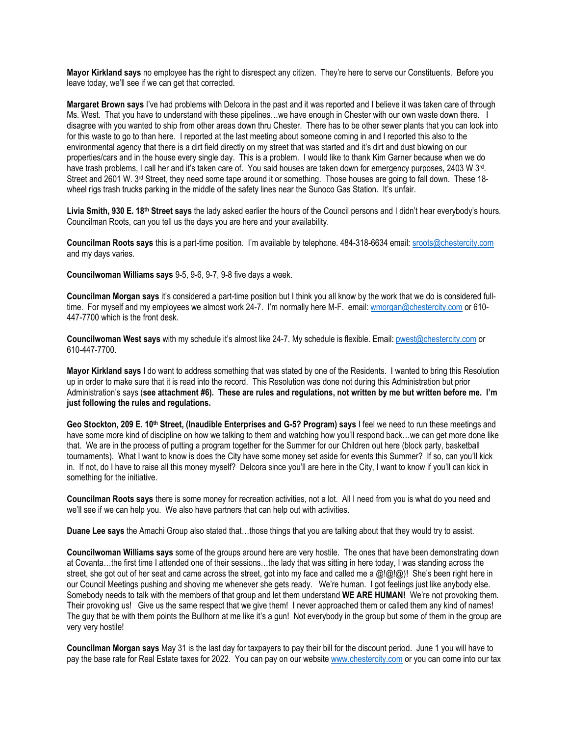**Mayor Kirkland says** no employee has the right to disrespect any citizen. They're here to serve our Constituents. Before you leave today, we'll see if we can get that corrected.

**Margaret Brown says** I've had problems with Delcora in the past and it was reported and I believe it was taken care of through Ms. West. That you have to understand with these pipelines…we have enough in Chester with our own waste down there. I disagree with you wanted to ship from other areas down thru Chester. There has to be other sewer plants that you can look into for this waste to go to than here. I reported at the last meeting about someone coming in and I reported this also to the environmental agency that there is a dirt field directly on my street that was started and it's dirt and dust blowing on our properties/cars and in the house every single day. This is a problem. I would like to thank Kim Garner because when we do have trash problems, I call her and it's taken care of. You said houses are taken down for emergency purposes, 2403 W 3<sup>rd</sup>. Street and 2601 W. 3<sup>rd</sup> Street, they need some tape around it or something. Those houses are going to fall down. These 18wheel rigs trash trucks parking in the middle of the safety lines near the Sunoco Gas Station. It's unfair.

**Livia Smith, 930 E. 18th Street says** the lady asked earlier the hours of the Council persons and I didn't hear everybody's hours. Councilman Roots, can you tell us the days you are here and your availability.

**Councilman Roots says** this is a part-time position. I'm available by telephone. 484-318-6634 email: [sroots@chestercity.com](mailto:sroots@chestercity.com) and my days varies.

**Councilwoman Williams says** 9-5, 9-6, 9-7, 9-8 five days a week.

**Councilman Morgan says** it's considered a part-time position but I think you all know by the work that we do is considered fulltime. For myself and my employees we almost work 24-7. I'm normally here M-F. email: [wmorgan@chestercity.com](mailto:wmorgan@chestercity.com) or 610-447-7700 which is the front desk.

**Councilwoman West says** with my schedule it's almost like 24-7. My schedule is flexible. Email: [pwest@chestercity.com](mailto:pwest@chestercity.com) or 610-447-7700.

**Mayor Kirkland says I** do want to address something that was stated by one of the Residents. I wanted to bring this Resolution up in order to make sure that it is read into the record. This Resolution was done not during this Administration but prior Administration's says (**see attachment #6). These are rules and regulations, not written by me but written before me. I'm just following the rules and regulations.**

**Geo Stockton, 209 E. 10th Street, (Inaudible Enterprises and G-5? Program) says** I feel we need to run these meetings and have some more kind of discipline on how we talking to them and watching how you'll respond back…we can get more done like that. We are in the process of putting a program together for the Summer for our Children out here (block party, basketball tournaments). What I want to know is does the City have some money set aside for events this Summer? If so, can you'll kick in. If not, do I have to raise all this money myself? Delcora since you'll are here in the City, I want to know if you'll can kick in something for the initiative.

**Councilman Roots says** there is some money for recreation activities, not a lot. All I need from you is what do you need and we'll see if we can help you. We also have partners that can help out with activities.

**Duane Lee says** the Amachi Group also stated that…those things that you are talking about that they would try to assist.

**Councilwoman Williams says** some of the groups around here are very hostile. The ones that have been demonstrating down at Covanta…the first time I attended one of their sessions…the lady that was sitting in here today, I was standing across the street, she got out of her seat and came across the street, got into my face and called me a  $\omega(\omega|\omega)$ ! She's been right here in our Council Meetings pushing and shoving me whenever she gets ready. We're human. I got feelings just like anybody else. Somebody needs to talk with the members of that group and let them understand **WE ARE HUMAN!** We're not provoking them. Their provoking us! Give us the same respect that we give them! I never approached them or called them any kind of names! The guy that be with them points the Bullhorn at me like it's a gun! Not everybody in the group but some of them in the group are very very hostile!

**Councilman Morgan says** May 31 is the last day for taxpayers to pay their bill for the discount period. June 1 you will have to pay the base rate for Real Estate taxes for 2022. You can pay on our websit[e www.chestercity.com](http://www.chestercity.com/) or you can come into our tax